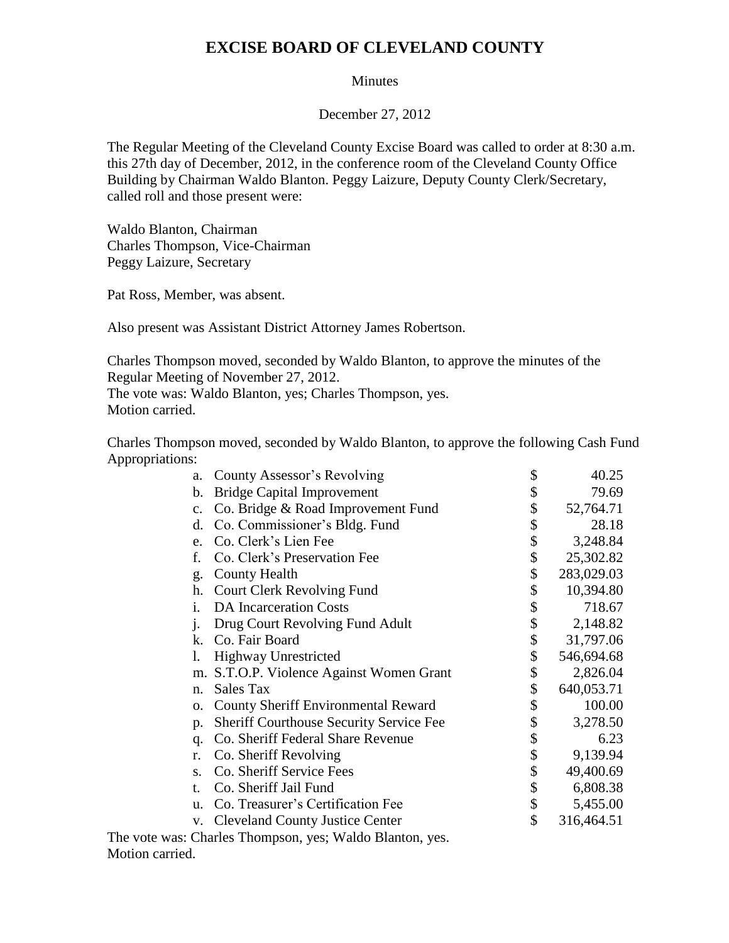## **EXCISE BOARD OF CLEVELAND COUNTY**

## Minutes

December 27, 2012

The Regular Meeting of the Cleveland County Excise Board was called to order at 8:30 a.m. this 27th day of December, 2012, in the conference room of the Cleveland County Office Building by Chairman Waldo Blanton. Peggy Laizure, Deputy County Clerk/Secretary, called roll and those present were:

Waldo Blanton, Chairman Charles Thompson, Vice-Chairman Peggy Laizure, Secretary

Pat Ross, Member, was absent.

Also present was Assistant District Attorney James Robertson.

Charles Thompson moved, seconded by Waldo Blanton, to approve the minutes of the Regular Meeting of November 27, 2012. The vote was: Waldo Blanton, yes; Charles Thompson, yes.

Motion carried.

Charles Thompson moved, seconded by Waldo Blanton, to approve the following Cash Fund Appropriations:

| a.             | County Assessor's Revolving                    | \$<br>40.25      |
|----------------|------------------------------------------------|------------------|
| b.             | <b>Bridge Capital Improvement</b>              | \$<br>79.69      |
| $\mathbf{c}$ . | Co. Bridge & Road Improvement Fund             | \$<br>52,764.71  |
| d.             | Co. Commissioner's Bldg. Fund                  | \$<br>28.18      |
| e.             | Co. Clerk's Lien Fee                           | \$<br>3,248.84   |
| f.             | Co. Clerk's Preservation Fee                   | \$<br>25,302.82  |
| g.             | <b>County Health</b>                           | \$<br>283,029.03 |
| h.             | <b>Court Clerk Revolving Fund</b>              | \$<br>10,394.80  |
| i.             | <b>DA</b> Incarceration Costs                  | \$<br>718.67     |
| $\mathbf{i}$ . | Drug Court Revolving Fund Adult                | \$<br>2,148.82   |
| k.             | Co. Fair Board                                 | \$<br>31,797.06  |
| 1.             | <b>Highway Unrestricted</b>                    | \$<br>546,694.68 |
| m.             | S.T.O.P. Violence Against Women Grant          | \$<br>2,826.04   |
| n.             | Sales Tax                                      | \$<br>640,053.71 |
| 0.             | <b>County Sheriff Environmental Reward</b>     | \$<br>100.00     |
| p.             | <b>Sheriff Courthouse Security Service Fee</b> | \$<br>3,278.50   |
| q.             | Co. Sheriff Federal Share Revenue              | \$<br>6.23       |
| r.             | Co. Sheriff Revolving                          | \$<br>9,139.94   |
| S.             | Co. Sheriff Service Fees                       | \$<br>49,400.69  |
| t.             | Co. Sheriff Jail Fund                          | \$<br>6,808.38   |
| u.             | Co. Treasurer's Certification Fee              | \$<br>5,455.00   |
| V.             | <b>Cleveland County Justice Center</b>         | \$<br>316,464.51 |
|                |                                                |                  |

The vote was: Charles Thompson, yes; Waldo Blanton, yes. Motion carried.